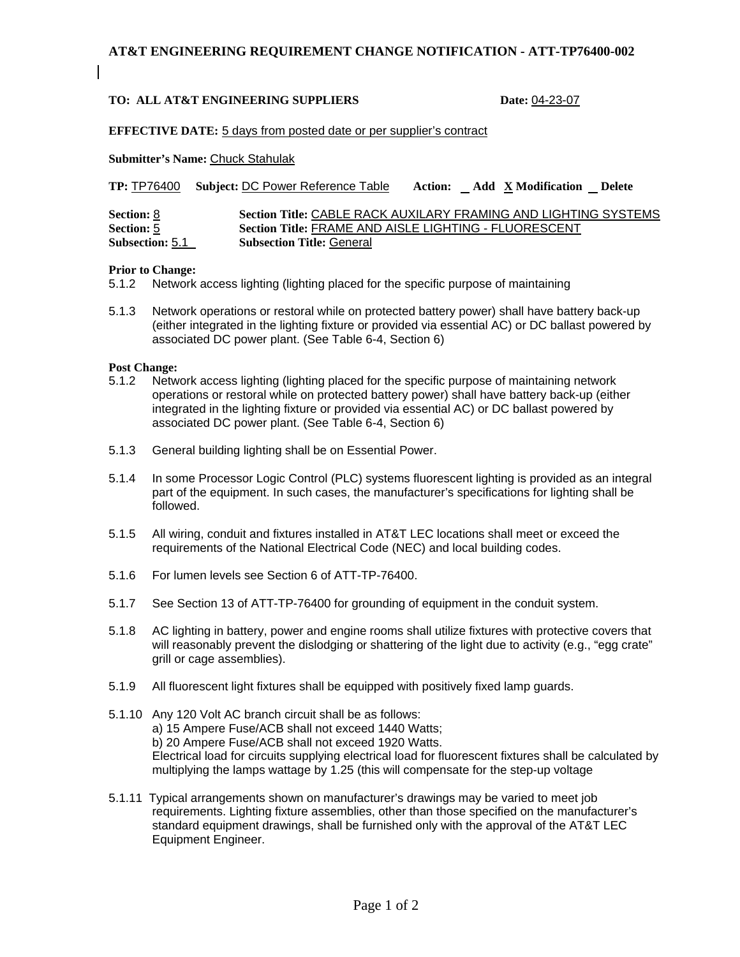# **AT&T ENGINEERING REQUIREMENT CHANGE NOTIFICATION - ATT-TP76400-002**

# **TO: ALL AT&T ENGINEERING SUPPLIERS Date:** 04-23-07

## **EFFECTIVE DATE:** 5 days from posted date or per supplier's contract

**Submitter's Name:** Chuck Stahulak

|  | TP: <b>TP76400</b> Subject: <b>DC Power Reference Table</b> Action: Add <b>X</b> Modification Delete |  |  |  |
|--|------------------------------------------------------------------------------------------------------|--|--|--|
|--|------------------------------------------------------------------------------------------------------|--|--|--|

| Section: 8             | Section Title: CABLE RACK AUXILARY FRAMING AND LIGHTING SYSTEMS |
|------------------------|-----------------------------------------------------------------|
| Section: 5             | Section Title: FRAME AND AISLE LIGHTING - FLUORESCENT           |
| <b>Subsection: 5.1</b> | <b>Subsection Title: General</b>                                |

#### **Prior to Change:**

5.1.2 Network access lighting (lighting placed for the specific purpose of maintaining

5.1.3 Network operations or restoral while on protected battery power) shall have battery back-up (either integrated in the lighting fixture or provided via essential AC) or DC ballast powered by associated DC power plant. (See Table 6-4, Section 6)

## **Post Change:**

- 5.1.2 Network access lighting (lighting placed for the specific purpose of maintaining network operations or restoral while on protected battery power) shall have battery back-up (either integrated in the lighting fixture or provided via essential AC) or DC ballast powered by associated DC power plant. (See Table 6-4, Section 6)
- 5.1.3 General building lighting shall be on Essential Power.
- 5.1.4 In some Processor Logic Control (PLC) systems fluorescent lighting is provided as an integral part of the equipment. In such cases, the manufacturer's specifications for lighting shall be followed.
- 5.1.5 All wiring, conduit and fixtures installed in AT&T LEC locations shall meet or exceed the requirements of the National Electrical Code (NEC) and local building codes.
- 5.1.6 For lumen levels see Section 6 of ATT-TP-76400.
- 5.1.7 See Section 13 of ATT-TP-76400 for grounding of equipment in the conduit system.
- 5.1.8 AC lighting in battery, power and engine rooms shall utilize fixtures with protective covers that will reasonably prevent the dislodging or shattering of the light due to activity (e.g., "egg crate" grill or cage assemblies).
- 5.1.9 All fluorescent light fixtures shall be equipped with positively fixed lamp guards.
- 5.1.10 Any 120 Volt AC branch circuit shall be as follows: a) 15 Ampere Fuse/ACB shall not exceed 1440 Watts; b) 20 Ampere Fuse/ACB shall not exceed 1920 Watts. Electrical load for circuits supplying electrical load for fluorescent fixtures shall be calculated by multiplying the lamps wattage by 1.25 (this will compensate for the step-up voltage
- 5.1.11 Typical arrangements shown on manufacturer's drawings may be varied to meet job requirements. Lighting fixture assemblies, other than those specified on the manufacturer's standard equipment drawings, shall be furnished only with the approval of the AT&T LEC Equipment Engineer.